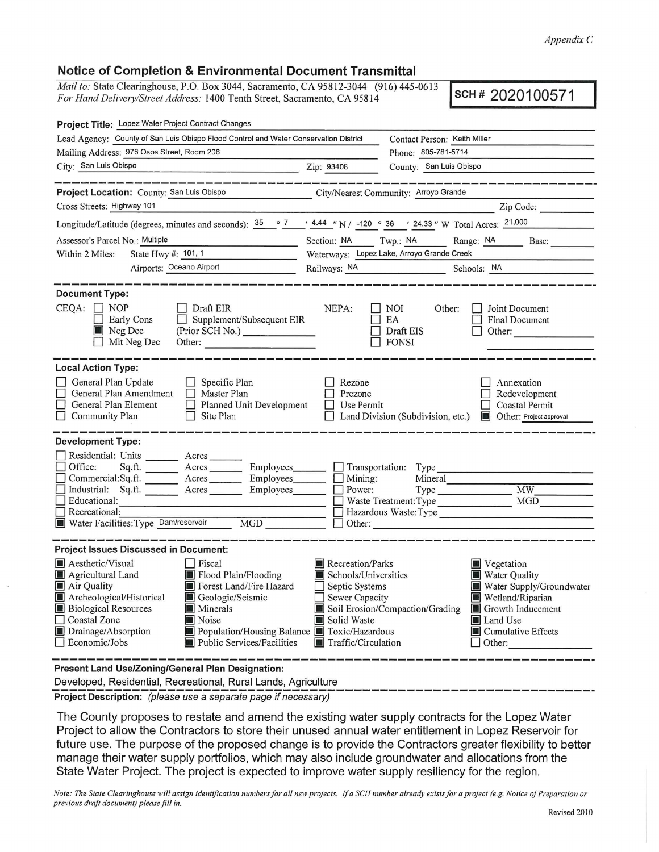*Appendix C* 

## **Notice of Completion** & **Environmental Document Transmittal**

*Mail to:* State Clearinghouse, P.O. Box 3044, Sacramento, CA 95812-3044 (916) 445-0613 *For Hand Delivery/Street Address:* 1400 Tenth Street, Sacramento, CA 95814 **SCH # 2020100571** 

| Project Title: Lopez Water Project Contract Changes                                                                                                                                                                                                                                                                       |                                                                                                                                                                         |                                                                                         |                                                                                                                                                                                   |  |
|---------------------------------------------------------------------------------------------------------------------------------------------------------------------------------------------------------------------------------------------------------------------------------------------------------------------------|-------------------------------------------------------------------------------------------------------------------------------------------------------------------------|-----------------------------------------------------------------------------------------|-----------------------------------------------------------------------------------------------------------------------------------------------------------------------------------|--|
| Lead Agency: County of San Luis Obispo Flood Control and Water Conservation District                                                                                                                                                                                                                                      |                                                                                                                                                                         | Contact Person: Keith Miller                                                            |                                                                                                                                                                                   |  |
| Mailing Address: 976 Osos Street, Room 206                                                                                                                                                                                                                                                                                |                                                                                                                                                                         | Phone: 805-781-5714                                                                     |                                                                                                                                                                                   |  |
| City: San Luis Obispo<br>Zip: 93408                                                                                                                                                                                                                                                                                       |                                                                                                                                                                         | County: San Luis Obispo                                                                 |                                                                                                                                                                                   |  |
|                                                                                                                                                                                                                                                                                                                           |                                                                                                                                                                         |                                                                                         |                                                                                                                                                                                   |  |
| Project Location: County: San Luis Obispo                                                                                                                                                                                                                                                                                 | City/Nearest Community: Arroyo Grande                                                                                                                                   |                                                                                         |                                                                                                                                                                                   |  |
| Cross Streets: Highway 101                                                                                                                                                                                                                                                                                                |                                                                                                                                                                         |                                                                                         | Zip Code:                                                                                                                                                                         |  |
| Longitude/Latitude (degrees, minutes and seconds): $35 \cdot 7$ / 4.44 "N / -120 $\cdot$ 36 / 24.33 " W Total Acres: 21,000                                                                                                                                                                                               |                                                                                                                                                                         |                                                                                         |                                                                                                                                                                                   |  |
| Assessor's Parcel No.: Multiple                                                                                                                                                                                                                                                                                           | Section: NA                                                                                                                                                             | Twp: NA                                                                                 | Range: NA Base:                                                                                                                                                                   |  |
| State Hwy #: 101, 1<br>Within 2 Miles:                                                                                                                                                                                                                                                                                    |                                                                                                                                                                         | Waterways: Lopez Lake, Arroyo Grande Creek                                              |                                                                                                                                                                                   |  |
| Airports: Oceano Airport                                                                                                                                                                                                                                                                                                  |                                                                                                                                                                         | Railways: NA Schools: NA                                                                |                                                                                                                                                                                   |  |
|                                                                                                                                                                                                                                                                                                                           |                                                                                                                                                                         |                                                                                         |                                                                                                                                                                                   |  |
| <b>Document Type:</b><br>$CEQA: \Box NP$<br><b>Draft EIR</b><br>Supplement/Subsequent EIR<br>Early Cons<br>Neg Dec<br>$\Box$ Mit Neg Dec                                                                                                                                                                                  | NEPA:                                                                                                                                                                   | NOI<br>Other:<br>EA<br>Draft EIS<br>$\Box$ FONSI                                        | Joint Document<br><b>Final Document</b><br>Other:                                                                                                                                 |  |
| <b>Local Action Type:</b><br>General Plan Update<br>$\Box$ Specific Plan<br>General Plan Amendment<br>Master Plan<br>General Plan Element<br>Planned Unit Development<br>$\Box$ Site Plan<br>$\Box$ Community Plan                                                                                                        | Rezone<br>Prezone<br>$\Box$ Use Permit                                                                                                                                  | Land Division (Subdivision, etc.)                                                       | Annexation<br>Redevelopment<br>$\Box$ Coastal Permit<br>Other: Project approval                                                                                                   |  |
| <b>Development Type:</b>                                                                                                                                                                                                                                                                                                  |                                                                                                                                                                         |                                                                                         |                                                                                                                                                                                   |  |
| Residential: Units ________ Acres _______<br>Office:<br>Sq.ft. _________ Acres ___________ Employees________<br>Commercial:Sq.ft. Acres Employees<br>Industrial: Sq.ft. Acres Employees<br>Educational:<br>П<br>Recreational:<br>Water Facilities: Type Dam/reservoir MGD                                                 | $\Box$ Mining:<br>$\Box$ Power:                                                                                                                                         | $\Box$ Transportation: Type<br>Waste Treatment: Type<br>Hazardous Waste: Type<br>Other: | Type MW<br>MGD                                                                                                                                                                    |  |
| <b>Project Issues Discussed in Document:</b>                                                                                                                                                                                                                                                                              |                                                                                                                                                                         |                                                                                         |                                                                                                                                                                                   |  |
| Aesthetic/Visual<br>Fiscal<br>Agricultural Land<br>Flood Plain/Flooding<br>Forest Land/Fire Hazard<br>Air Quality<br>Archeological/Historical<br>Geologic/Seismic<br><b>Biological Resources</b><br><b>Minerals</b><br>Coastal Zone<br>Noise<br>Drainage/Absorption<br>Economic/Jobs<br><b>Public Services/Facilities</b> | Recreation/Parks<br>Schools/Universities<br>$\Box$ Septic Systems<br>Sewer Capacity<br>Solid Waste<br>Population/Housing Balance Toxic/Hazardous<br>Traffic/Circulation | Soil Erosion/Compaction/Grading                                                         | $\blacksquare$ Vegetation<br>Water Quality<br>Water Supply/Groundwater<br>Wetland/Riparian<br>Growth Inducement<br>Land Use<br>$\blacksquare$ Cumulative Effects<br>$\Box$ Other: |  |
| <b>Present Land Use/Zoning/General Plan Designation:</b>                                                                                                                                                                                                                                                                  |                                                                                                                                                                         |                                                                                         |                                                                                                                                                                                   |  |

Developed, Residential, Recreational, Rural Lands, Agriculture

Project Description: (please use a separate page if necessary)

The County proposes to restate and amend the existing water supply contracts for the Lopez Water Project to allow the Contractors to store their unused annual water entitlement in Lopez Reservoir for future use. The purpose of the proposed change is to provide the Contractors greater flexibility to better manage their water supply portfolios, which may also include groundwater and allocations from the State Water Project. The project is expected to improve water supply resiliency for the region.

*Note: The State Clearinghouse will assign identification numbers for all new projects. If a SCH number already exists for a project (e .g. Notice of Preparation or previous draft document) please fill in.*